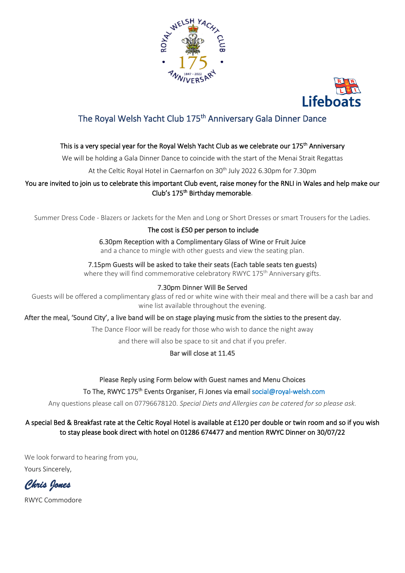



# The Royal Welsh Yacht Club 175<sup>th</sup> Anniversary Gala Dinner Dance

## This is a very special year for the Royal Welsh Yacht Club as we celebrate our 175<sup>th</sup> Anniversary

We will be holding a Gala Dinner Dance to coincide with the start of the Menai Strait Regattas

At the Celtic Royal Hotel in Caernarfon on 30<sup>th</sup> July 2022 6.30pm for 7.30pm

## You are invited to join us to celebrate this important Club event, raise money for the RNLI in Wales and help make our Club's 175<sup>th</sup> Birthday memorable.

Summer Dress Code - Blazers or Jackets for the Men and Long or Short Dresses or smart Trousers for the Ladies.

#### The cost is £50 per person to include

6.30pm Reception with a Complimentary Glass of Wine or Fruit Juice and a chance to mingle with other guests and view the seating plan.

## 7.15pm Guests will be asked to take their seats (Each table seats ten guests)

where they will find commemorative celebratory RWYC 175<sup>th</sup> Anniversary gifts.

#### 7.30pm Dinner Will Be Served

Guests will be offered a complimentary glass of red or white wine with their meal and there will be a cash bar and wine list available throughout the evening.

After the meal, 'Sound City', a live band will be on stage playing music from the sixties to the present day.

The Dance Floor will be ready for those who wish to dance the night away

and there will also be space to sit and chat if you prefer.

## Bar will close at 11.45

#### Please Reply using Form below with Guest names and Menu Choices

#### To The, RWYC 175<sup>th</sup> Events Organiser, Fi Jones via email social@royal-welsh.com

Any questions please call on 07796678120. *Special Diets and Allergies can be catered for so please ask.*

## A special Bed & Breakfast rate at the Celtic Royal Hotel is available at £120 per double or twin room and so if you wish to stay please book direct with hotel on 01286 674477 and mention RWYC Dinner on 30/07/22

We look forward to hearing from you, Yours Sincerely,

*Chris Jones* 

RWYC Commodore